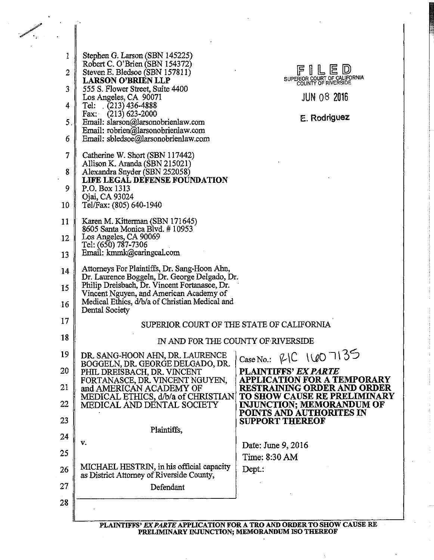| 1            | Stephen G. Larson (SBN 145225)                                                                   |                                                                       |  |  |  |
|--------------|--------------------------------------------------------------------------------------------------|-----------------------------------------------------------------------|--|--|--|
| 2            | Robert C. O'Brien (SBN 154372)<br>Steven E. Bledsoe (SBN 157811)                                 | FILED<br>SUPERIOR COURT OF CALIFORNIA                                 |  |  |  |
| 3            | <b>LARSON O'BRIEN LLP</b><br>555 S. Flower Street, Suite 4400                                    |                                                                       |  |  |  |
| 4            | Los Angeles, CA 90071<br>Tel: $(213)$ 436-4888                                                   | <b>JUN 08 2016</b>                                                    |  |  |  |
| 5            | Fax: $(213)$ 623-2000<br>Email: slarson@larsonobrienlaw.com                                      | E. Rodriguez                                                          |  |  |  |
| 6            | Email: robrien@larsonobrienlaw.com<br>Email: sbledsoe@larsonobrienlaw.com                        |                                                                       |  |  |  |
| 7            | Catherine W. Short (SBN 117442)                                                                  |                                                                       |  |  |  |
| 8            | Allison K. Aranda (SBN 215021)<br>Alexandra Snyder (SBN 252058)<br>LIFE LEGAL DEFENSE FOUNDATION |                                                                       |  |  |  |
| 9            | P.O. Box 1313                                                                                    |                                                                       |  |  |  |
| 10           | Ojai, CA 93024<br>Tel/Fax: (805) 640-1940                                                        |                                                                       |  |  |  |
| $11^{\circ}$ | Karen M. Kitterman (SBN 171645)<br>8605 Santa Monica Blvd. #10953                                |                                                                       |  |  |  |
| 12           | Los Angeles, CA 90069<br>Tel: (650) 787-7306                                                     |                                                                       |  |  |  |
| 13           | Email: kmmk@caringcal.com                                                                        |                                                                       |  |  |  |
| 14           | Attorneys For Plaintiffs, Dr. Sang-Hoon Ahn,<br>Dr. Laurence Boggeln, Dr. George Delgado, Dr.    |                                                                       |  |  |  |
| 15           | Philip Dreisbach, Dr. Vincent Fortanasce, Dr.<br>Vincent Nguyen, and American Academy of         |                                                                       |  |  |  |
| 16           | Medical Ethics, d/b/a of Christian Medical and<br>Dental Society                                 |                                                                       |  |  |  |
| 17           | SUPERIOR COURT OF THE STATE OF CALIFORNIA                                                        |                                                                       |  |  |  |
| 18           | IN AND FOR THE COUNTY OF RIVERSIDE                                                               |                                                                       |  |  |  |
| 19           | DR. SANG-HOON AHN, DR. LAURENCE<br>BOGGELN, DR. GEORGE DELGADO, DR.                              | Case No.: RIC 1607135                                                 |  |  |  |
| 20           | PHIL DREISBACH, DR. VINCENT<br>FORTANASCE, DR. VINCENT NGUYEN,                                   | <b>PLAINTIFFS' EX PARTE</b><br><b>APPLICATION FOR A TEMPORARY</b>     |  |  |  |
| 21           | and AMERICAN ACADEMY OF<br>MEDICAL ETHICS, d/b/a of CHRISTIAN                                    | <b>RESTRAINING ORDER AND ORDER</b><br>TO SHOW CAUSE RE PRELIMINARY    |  |  |  |
| 22           | MEDICAL AND DENTAL SOCIETY                                                                       | <b>INJUNCTION; MEMORANDUM OF</b><br>POINTS AND AUTHORITES IN          |  |  |  |
| 23           | Plaintiffs,                                                                                      | <b>SUPPORT THEREOF</b>                                                |  |  |  |
| 24           | v.                                                                                               | Date: June 9, 2016                                                    |  |  |  |
| 25           |                                                                                                  | Time: 8:30 AM                                                         |  |  |  |
| 26           | MICHAEL HESTRIN, in his official capacity<br>as District Attorney of Riverside County,           | Dept.:                                                                |  |  |  |
| 27           | Defendant                                                                                        |                                                                       |  |  |  |
| 28           |                                                                                                  |                                                                       |  |  |  |
|              |                                                                                                  | PLAINTIFFS' EX PARTE APPLICATION FOR A TRO AND ORDER TO SHOW CAUSE RE |  |  |  |
|              | PRELIMINARY INJUNCTION; MEMORANDUM ISO THEREOF                                                   |                                                                       |  |  |  |

 $\sim$ 

**Contract** 

 $\mathcal{L}_{\mathbf{r}}$ 

 $\frac{1}{2}$ 

 $\ddot{\phantom{0}}$ 

 $\frac{1}{\sqrt{2}}$ 

 $\hat{\mathbf{x}}$ 

 $\bar{z}$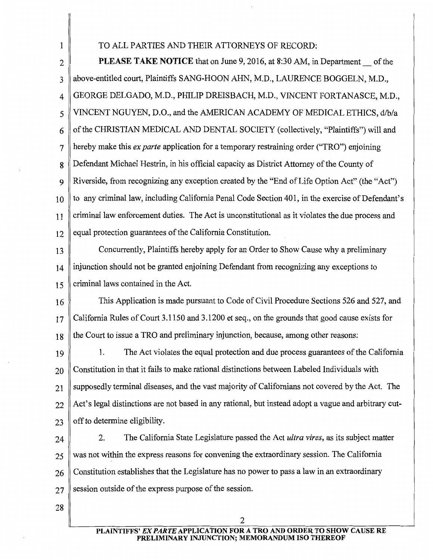### 1 TO ALL PARTIES AND THEIR ATTORNEYS OF RECORD:

2 **PLEASE TAKE NOTICE** that on June 9, 2016, at 8:30 AM, in Department  $\sim$  of the 3 above-entitled court, Plaintiffs SANG-HOON AHN, M.D., LAURENCE BOGGELN, M.D., 4 GEORGE DELGADO, M.D., PHILIP DREISBACH, M.D., VINCENT FORTANASCE, M.D., 5 VINCENT NGUYEN, D.O., and the AMERICAN ACADEMY OF MEDICAL ETHICS, d/b/a  $6 \parallel$  of the CHRISTIAN MEDICAL AND DENTAL SOCIETY (collectively, "Plaintiffs") will and 7 hereby make this *ex parte* application for a temporary restraining order ("TRO") enjoining 8 Defendant Michael Hestrin, in his official capacity as District Attorney of the County of 9 Riverside, from recognizing any exception created by the "End of Life Option Act" (the "Act")  $10$  to any criminal law, including California Penal Code Section 401, in the exercise of Defendant's 11 criminal law enforcement duties. The Act is unconstitutional as it violates the due process and  $12$  equal protection guarantees of the California Constitution.

13 Concurrently, Plaintiffs hereby apply for an Order to Show Cause why a preliminary 14 injunction should not be granted enjoining Defendant from recognizing any exceptions to  $15$  criminal laws contained in the Act.

16 This Application is made pursuant to Code of Civil Procedure Sections 526 and 527, and  $17 \parallel$  California Rules of Court 3.1150 and 3.1200 et seq., on the grounds that good cause exists for  $18$  the Court to issue a TRO and preliminary injunction, because, among other reasons:

19 1. The Act violates the equal protection and due process guarantees of the California  $20 \parallel$  Constitution in that it fails to make rational distinctions between Labeled Individuals with  $21$  supposedly terminal diseases, and the vast majority of Californians not covered by the Act. The 22 Act's legal distinctions are not based in any rational, but instead adopt a vague and arbitrary cut- $23$  off to determine eligibility.

24 2. The California State Legislature passed the Act *ultra vires*, as its subject matter  $25 \parallel$  was not within the express reasons for convening the extraordinary session. The California  $26$  Constitution establishes that the Legislature has no power to pass a law in an extraordinary  $27$  session outside of the express purpose of the session.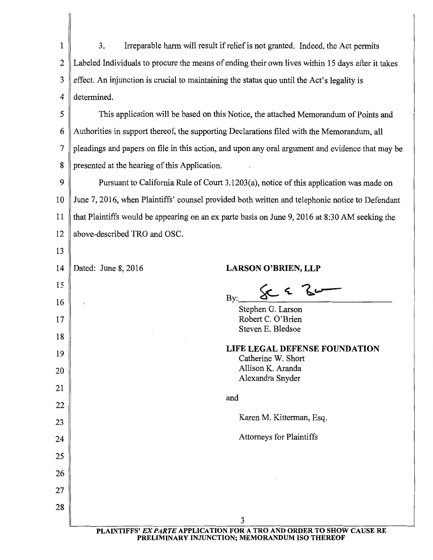1 3. Irreparable harm will result if relief is not granted. Indeed, the Act permits 2 Labeled Individuals to procure the means of ending their own lives within 15 days after it takes  $3 \parallel$  effect. An injunction is crucial to maintaining the status quo until the Act's legality is 4 determined.

5 This application will be based on this Notice, the attached Memorandum of Points and 6 Authorities in support thereof, the supporting Declarations filed with the Memorandum, all 7 pleadings and papers on file in this action, and upon any oral argument and evidence that may be 8 presented at the hearing of this Application.

9 Pursuant to California Rule of Court 3.1203(a), notice of this application was made on 10 June 7, 2016, when Plaintiffs' counsel provided both written and telephonic notice to Defendant 11 that Plaintiffs would be appearing on an ex parte basis on June 9, 2016 at 8:30 AM seeking the 12 above-described TRO and OSC.

| 14 | Dated: June 8, 2016                                                                                                     | <b>LARSON O'BRIEN, LLP</b>                          |  |  |  |
|----|-------------------------------------------------------------------------------------------------------------------------|-----------------------------------------------------|--|--|--|
| 15 |                                                                                                                         | $\&\in \mathcal{S}$ ur                              |  |  |  |
| 16 | Y                                                                                                                       | By:<br>Stephen G. Larson                            |  |  |  |
| 17 |                                                                                                                         | Robert C. O'Brien                                   |  |  |  |
| 18 |                                                                                                                         | Steven E. Bledsoe                                   |  |  |  |
| 19 |                                                                                                                         | LIFE LEGAL DEFENSE FOUNDATION<br>Catherine W. Short |  |  |  |
| 20 |                                                                                                                         | Allison K. Aranda<br>Alexandra Snyder               |  |  |  |
| 21 |                                                                                                                         |                                                     |  |  |  |
| 22 |                                                                                                                         | and                                                 |  |  |  |
| 23 |                                                                                                                         | Karen M. Kitterman, Esq.                            |  |  |  |
| 24 |                                                                                                                         | <b>Attorneys for Plaintiffs</b>                     |  |  |  |
| 25 |                                                                                                                         |                                                     |  |  |  |
| 26 |                                                                                                                         |                                                     |  |  |  |
| 27 |                                                                                                                         |                                                     |  |  |  |
| 28 |                                                                                                                         |                                                     |  |  |  |
|    |                                                                                                                         | 3                                                   |  |  |  |
|    | PLAINTIFFS' EX PARTE APPLICATION FOR A TRO AND ORDER TO SHOW CAUSE RE<br>PRELIMINARY INJUNCTION; MEMORANDUM ISO THEREOF |                                                     |  |  |  |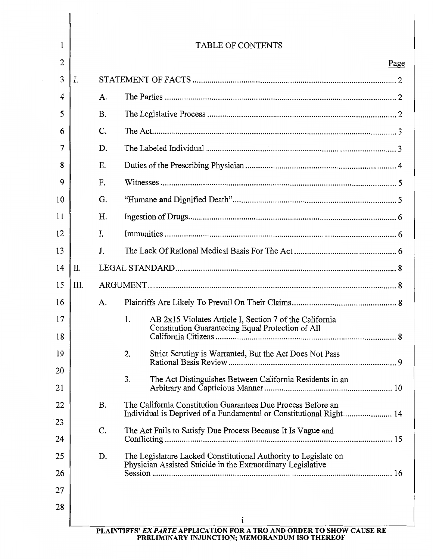| 1  | <b>TABLE OF CONTENTS</b> |           |                                                                                                                                    |  |
|----|--------------------------|-----------|------------------------------------------------------------------------------------------------------------------------------------|--|
| 2  |                          | Page      |                                                                                                                                    |  |
| 3  | I.                       |           |                                                                                                                                    |  |
| 4  |                          | A.        |                                                                                                                                    |  |
| 5  |                          | <b>B.</b> |                                                                                                                                    |  |
| 6  |                          | C.        |                                                                                                                                    |  |
| 7  |                          | D.        |                                                                                                                                    |  |
| 8  |                          | Ε.        |                                                                                                                                    |  |
| 9  |                          | F.        |                                                                                                                                    |  |
| 10 |                          | G.        |                                                                                                                                    |  |
| 11 |                          | Η.        |                                                                                                                                    |  |
| 12 |                          | I.        |                                                                                                                                    |  |
| 13 |                          | J.        |                                                                                                                                    |  |
| 14 | II.                      |           |                                                                                                                                    |  |
| 15 | III.                     |           |                                                                                                                                    |  |
| 16 |                          | A.        |                                                                                                                                    |  |
| 17 |                          |           | AB 2x15 Violates Article I, Section 7 of the California<br>1.<br>Constitution Guaranteeing Equal Protection of All                 |  |
| 18 |                          |           |                                                                                                                                    |  |
| 19 |                          |           | 2.<br>Strict Scrutiny is Warranted, But the Act Does Not Pass                                                                      |  |
| 20 |                          |           | 3.<br>The Act Distinguishes Between California Residents in an                                                                     |  |
| 21 |                          |           |                                                                                                                                    |  |
| 22 |                          | <b>B.</b> | The California Constitution Guarantees Due Process Before an<br>Individual is Deprived of a Fundamental or Constitutional Right 14 |  |
| 23 |                          | C.        | The Act Fails to Satisfy Due Process Because It Is Vague and                                                                       |  |
| 24 |                          |           |                                                                                                                                    |  |
| 25 |                          | D.        | The Legislature Lacked Constitutional Authority to Legislate on<br>Physician Assisted Suicide in the Extraordinary Legislative     |  |
| 26 |                          |           |                                                                                                                                    |  |
| 27 |                          |           |                                                                                                                                    |  |
| 28 |                          |           |                                                                                                                                    |  |
|    |                          |           | i<br>PLAINTIFFS' EX PARTE APPLICATION FOR A TRO AND ORDER TO SHOW CAUSE RE                                                         |  |

 $\overline{\phantom{a}}$ 

 $\begin{array}{c} \begin{array}{c} \begin{array}{c} \begin{array}{c} \end{array}\\ \end{array} \end{array} \end{array}$ 

PRELIMINARY INJUNCTION; MEMORANDUM ISO THEREOF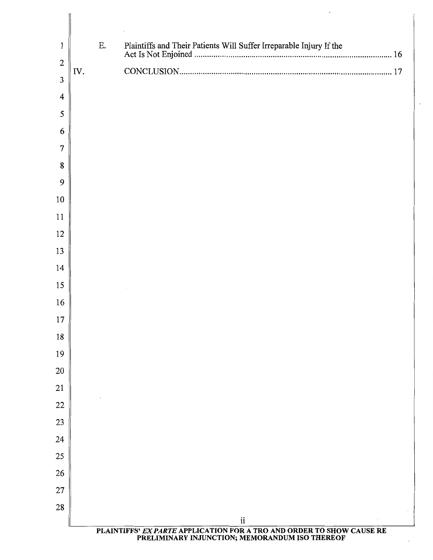| $\mathbf{1}$     |     | Ε. |                                                                                                                         |  |
|------------------|-----|----|-------------------------------------------------------------------------------------------------------------------------|--|
| $\boldsymbol{2}$ | IV. |    |                                                                                                                         |  |
| $\overline{3}$   |     |    |                                                                                                                         |  |
| $\overline{4}$   |     |    |                                                                                                                         |  |
| 5                |     |    |                                                                                                                         |  |
| 6                |     |    |                                                                                                                         |  |
| 7                |     |    |                                                                                                                         |  |
| 8                |     |    |                                                                                                                         |  |
| 9                |     |    |                                                                                                                         |  |
| 10               |     |    |                                                                                                                         |  |
| 11               |     |    |                                                                                                                         |  |
| 12               |     |    |                                                                                                                         |  |
| 13               |     |    |                                                                                                                         |  |
| 14               |     |    |                                                                                                                         |  |
| 15               |     |    |                                                                                                                         |  |
| 16               |     |    |                                                                                                                         |  |
| 17               |     |    |                                                                                                                         |  |
| 18               |     |    |                                                                                                                         |  |
| 19               |     |    |                                                                                                                         |  |
| 20               |     |    |                                                                                                                         |  |
| 21               |     |    |                                                                                                                         |  |
| 22               |     |    |                                                                                                                         |  |
| 23               |     |    |                                                                                                                         |  |
| 24               |     |    |                                                                                                                         |  |
| 25               |     |    |                                                                                                                         |  |
| 26               |     |    |                                                                                                                         |  |
| 27               |     |    |                                                                                                                         |  |
| 28               |     |    |                                                                                                                         |  |
|                  |     |    | $\rm ii$                                                                                                                |  |
|                  |     |    | PLAINTIFFS' EX PARTE APPLICATION FOR A TRO AND ORDER TO SHOW CAUSE RE<br>PRELIMINARY INJUNCTION; MEMORANDUM ISO THEREOF |  |

 $\overline{\phantom{a}}$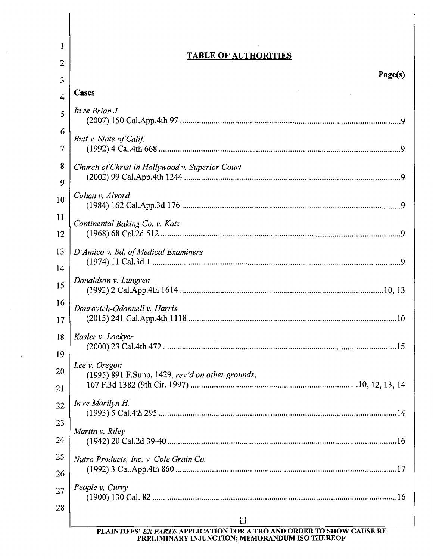| <b>TABLE OF AUTHORITIES</b><br>$\overline{2}$<br>3<br>Cases<br>$\overline{4}$ | Page(s) |
|-------------------------------------------------------------------------------|---------|
|                                                                               |         |
|                                                                               |         |
|                                                                               |         |
| In re Brian J.<br>5                                                           |         |
| 6<br>Butt v. State of Calif.                                                  |         |
| 7                                                                             |         |
| 8<br>Church of Christ in Hollywood v. Superior Court                          |         |
| 9                                                                             |         |
| Cohan v. Alvord<br>10                                                         |         |
| 11<br>Continental Baking Co. v. Katz                                          |         |
| 12                                                                            |         |
| 13<br>D'Amico v. Bd. of Medical Examiners                                     |         |
| 14                                                                            |         |
| Donaldson v. Lungren<br>15                                                    |         |
| 16<br>Donrovich-Odonnell v. Harris                                            |         |
| 17                                                                            |         |
| Kasler v. Lockyer<br>18                                                       |         |
| 19                                                                            |         |
| Lee v. Oregon<br>20<br>(1995) 891 F.Supp. 1429, rev'd on other grounds,       |         |
| 21                                                                            |         |
| In re Marilyn H.<br>22                                                        |         |
| 23                                                                            |         |
| Martin v. Riley<br>24                                                         |         |
| 25<br>Nutro Products, Inc. v. Cole Grain Co.                                  |         |
| 26                                                                            |         |
| People v. Curry<br>27                                                         |         |
| 28                                                                            |         |
| iii<br>PLAINTIFFS' EX PARTE APPLICATION FOR A TRO AND ORDER TO SHOW CAUSE RE  |         |

PRELIMINARY INJUNCTION; MEMORANDUM ISO THEREOF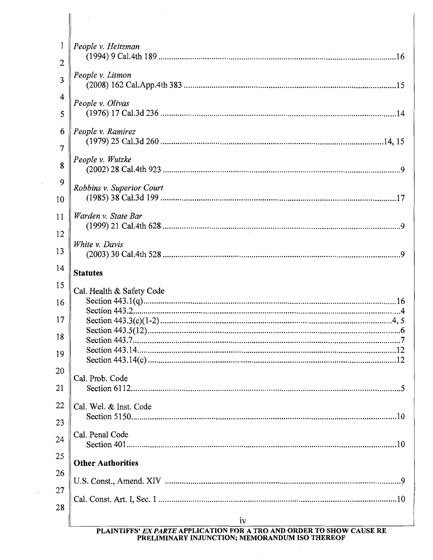| 1              | People v. Heitzman        |  |  |
|----------------|---------------------------|--|--|
| $\overline{c}$ |                           |  |  |
| $\overline{3}$ | People v. Litmon          |  |  |
| 4<br>5         | People v. Olivas          |  |  |
| 6              | People v. Ramirez         |  |  |
| $\overline{7}$ |                           |  |  |
| 8              | People v. Wutzke          |  |  |
| 9              | Robbins v. Superior Court |  |  |
| 10             |                           |  |  |
| 11             | Warden v. State Bar       |  |  |
| 12             |                           |  |  |
| 13             | White v. Davis            |  |  |
| 14             | <b>Statutes</b>           |  |  |
| 15             | Cal. Health & Safety Code |  |  |
| 16             |                           |  |  |
| 17             |                           |  |  |
| 18             |                           |  |  |
| 19             |                           |  |  |
|                |                           |  |  |
| 20             | Cal. Prob. Code           |  |  |
| 21             |                           |  |  |
| 22             | Cal. Wel. & Inst. Code    |  |  |
| 23             |                           |  |  |
| 24             | Cal. Penal Code           |  |  |
| 25             |                           |  |  |
|                | <b>Other Authorities</b>  |  |  |
| 26             |                           |  |  |
| 27             |                           |  |  |
| 28             |                           |  |  |
|                | iv                        |  |  |

PLAINTIFFS' EX PARTE APPLICATION FOR A TRO AND ORDER TO SHOW CAUSE RE<br>PRELIMINARY INJUNCTION; MEMORANDUM ISO THEREOF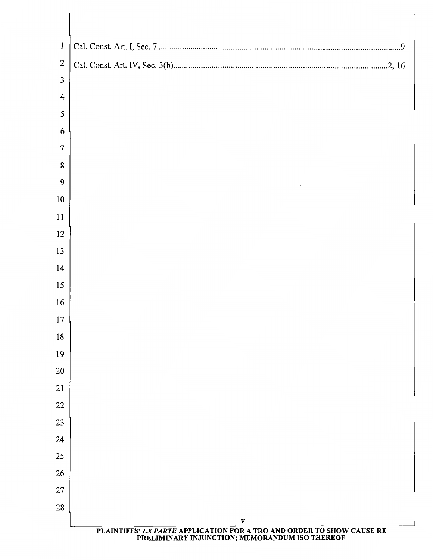| $\mathbf{1}$                     |                                                                                       |
|----------------------------------|---------------------------------------------------------------------------------------|
|                                  |                                                                                       |
| $\overline{2}$<br>$\mathfrak{Z}$ |                                                                                       |
| $\overline{4}$                   |                                                                                       |
| $\mathfrak{S}$                   |                                                                                       |
| 6                                |                                                                                       |
| 7                                |                                                                                       |
| 8                                |                                                                                       |
| 9                                |                                                                                       |
| 10                               |                                                                                       |
| 11                               |                                                                                       |
| 12                               |                                                                                       |
| 13                               |                                                                                       |
| 14                               |                                                                                       |
| 15                               |                                                                                       |
| 16                               |                                                                                       |
| 17                               |                                                                                       |
| 18                               |                                                                                       |
| 19                               |                                                                                       |
| 20                               |                                                                                       |
| 21                               |                                                                                       |
| 22                               |                                                                                       |
| 23                               |                                                                                       |
| 24                               |                                                                                       |
| 25                               |                                                                                       |
| 26                               |                                                                                       |
| 27                               |                                                                                       |
| 28                               |                                                                                       |
|                                  | $\mathbf{V}$<br>PLAINTIFFS' EX PARTE APPLICATION FOR A TRO AND ORDER TO SHOW CAUSE RE |

 $\boldsymbol{\beta}$ 

## PRELIMINARY INJUNCTION; MEMORANDUM ISO THEREOF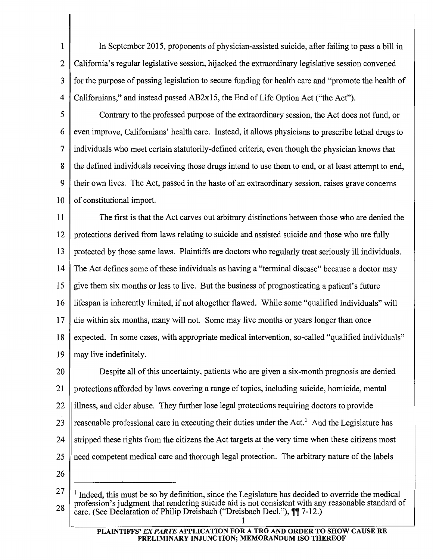1 In September 2015, proponents of physician-assisted suicide, after failing to pass a bill in 2  $\mathbb C$  California's regular legislative session, hijacked the extraordinary legislative session convened 3 for the purpose of passing legislation to secure funding for health care and "promote the health of 4 Californians," and instead passed AB2x15, the End of Life Option Act ("the Act").

5 Contrary to the professed purpose of the extraordinary session, the Act does not fund, or  $6 \parallel$  even improve, Californians' health care. Instead, it allows physicians to prescribe lethal drugs to 7 individuals who meet certain statutorily-defined criteria, even though the physician knows that 8 the defined individuals receiving those drugs intend to use them to end, or at least attempt to end, 9 their own lives. The Act, passed in the haste of an extraordinary session, raises grave concerns  $10$  of constitutional import.

11 The first is that the Act carves out arbitrary distinctions between those who are denied the 12 protections derived from laws relating to suicide and assisted suicide and those who are fully 13 protected by those same laws. Plaintiffs are doctors who regularly treat seriously ill individuals. 14 The Act defines some of these individuals as having a "terminal disease" because a doctor may 15 give them six months or less to live. But the business of prognosticating a patient's future 16 lifespan is inherently limited, if not altogether flawed. While some "qualified individuals" will 17 die within six months, many will not. Some may live months or years longer than once 18 expected. In some cases, with appropriate medical intervention, so-called "qualified individuals" 19  $\parallel$  may live indefinitely.

20 Despite all of this uncertainty, patients who are given a six-month prognosis are denied 21 protections afforded by laws covering a range of topics, including suicide, homicide, mental  $22$  illness, and elder abuse. They further lose legal protections requiring doctors to provide 23  $\parallel$  reasonable professional care in executing their duties under the Act.<sup>1</sup> And the Legislature has 24  $\parallel$  stripped these rights from the citizens the Act targets at the very time when these citizens most 25 need competent medical care and thorough legal protection. The arbitrary nature of the labels

26

<sup>27</sup>  28 <sup>1</sup> Indeed, this must be so by definition, since the Legislature has decided to override the medical profession's judgment that rendering suicide aid is not consistent with any reasonable standard of care. (See Declaration of Philip Dreisbach ("Dreisbach Decl."),  $\P$ [ 7-12.)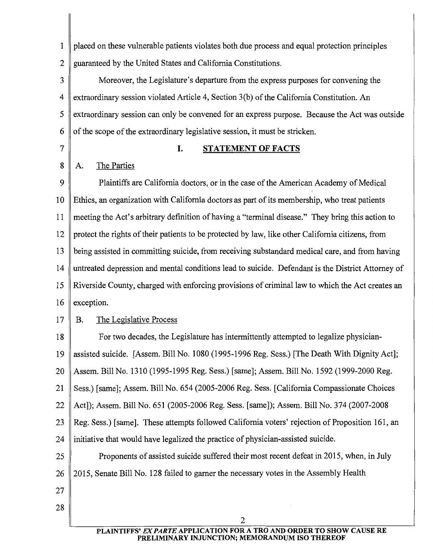1 placed on these vulnerable patients violates both due process and equal protection principles 2 guaranteed by the United States and California Constitutions.

3 Moreover, the Legislature's departure from the express purposes for convening the 4 extraordinary session violated Article 4, Section 3(b) of the California Constitution. An 5 extraordinary session can only be convened for an express purpose. Because the Act was outside 6  $\parallel$  of the scope of the extraordinary legislative session, it must be stricken.

## 7 || **I. STATEMENT OF FACTS**

## 8 | A. The Parties

9 Plaintiffs are California doctors, or in the case of the American Academy of Medical 10 Ethics, an organization with California doctors as part of its membership, who treat patients 11 meeting the Act's arbitrary definition of having a "terminal disease." They bring this action to 12 protect the rights of their patients to be protected by law, like other California citizens, from 13 being assisted in committing suicide, from receiving substandard medical care, and from having 14 untreated depression and mental conditions lead to suicide. Defendant is the District Attorney of 15 Riverside County, charged with enforcing provisions of criminal law to which the Act creates an 16  $\parallel$  exception.

## 17 B. The Legislative Process

18 For two decades, the Legislature has intermittently attempted to legalize physician-19 assisted suicide. [Assem. Bill No. 1080 (1995-1996 Reg. Sess.) [The Death With Dignity Act]; 20 Assem. Bill No. 1310 (1995-1995 Reg. Sess.) [same]; Assem. Bill No. 1592 (1999-2000 Reg. 21 Sess.) [same]; Assem. Bill No. 654 (2005-2006 Reg. Sess. [California Compassionate Choices 22 Act]); Assem. Bill No. 651 (2005-2006 Reg. Sess. [same]); Assem. Bill No. 374 (2007-2008 23 Reg. Sess.) [same]. These attempts followed California voters' rejection of Proposition 161, an 24 initiative that would have legalized the practice of physician-assisted suicide. 25 **Proponents of assisted suicide suffered their most recent defeat in 2015, when, in July** 26 2015, Senate Bill No. 128 failed to garner the necessary votes in the Assembly Health 27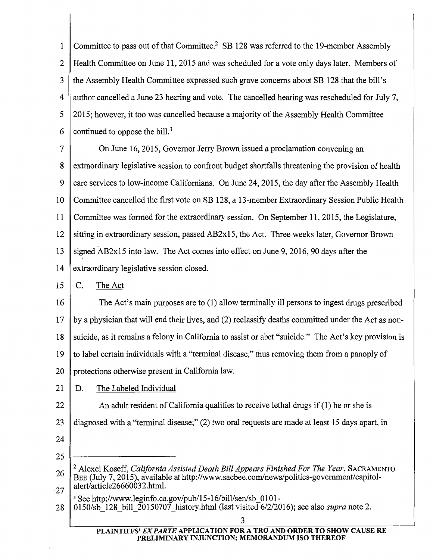1 Committee to pass out of that Committee.<sup>2</sup> SB 128 was referred to the 19-member Assembly 2 Health Committee on June 11, 2015 and was scheduled for a vote only days later. Members of 3 the Assembly Health Committee expressed such grave concerns about SB 128 that the bill's 4 author cancelled a June 23 hearing and vote. The cancelled hearing was rescheduled for July 7, 5 2015; however, it too was cancelled because a majority of the Assembly Health Committee 6 continued to oppose the bill.<sup>3</sup>

7 On June 16, 2015, Governor Jerry Brown issued a proclamation convening an 8 extraordinary legislative session to confront budget shortfalls threatening the provision of health 9 care services to low-income Californians. On June 24, 2015, the day after the Assembly Health 10 Committee cancelled the first vote on SB 128, a 13-member Extraordinary Session Public Health 11 Committee was formed for the extraordinary session. On September 11, 2015, the Legislature, 12 sitting in extraordinary session, passed AB2x15, the Act. Three weeks later, Governor Brown 13 signed AB2x15 into law. The Act comes into effect on June 9, 2016, 90 days after the 14 extraordinary legislative session closed.

## $15 \parallel C$ . The Act

16 The Act's main purposes are to (1) allow terminally ill persons to ingest drugs prescribed  $17$  by a physician that will end their lives, and (2) reclassify deaths committed under the Act as non-18 suicide, as it remains a felony in California to assist or abet "suicide." The Act's key provision is 19 to label certain individuals with a "terminal disease," thus removing them from a panoply of 20 protections otherwise present in California law.

- 21 | D. The Labeled Individual
- 22 An adult resident of California qualifies to receive lethal drugs if  $(1)$  he or she is
- 23 diagnosed with a "terminal disease;" (2) two oral requests are made at least 15 days apart, in
- 24

25

- 26 27 <sup>2</sup> Alexei Koseff, *California Assisted Death Bill Appears Finished For The Year*, SACRAMENTO BEE (July 7, 2015), available at http://www.sacbee.com/news/politics-government/capitolalert/article26660032.html.
- 3 See http://www.leginfo.ca.gov/pub/15-16/bill/sen/sb\_Ol01-
- 28 0150/sb\_128\_bi11\_20150707 \_history.html (last visited 6/2/2016); see also *supra* note 2.

#### PLAINTIFFS' EX PARTE APPLICATION FOR A TRO AND ORDER TO SHOW CAUSE RE PRELIMINARY INJUNCTION; MEMORANDUM ISO THEREOF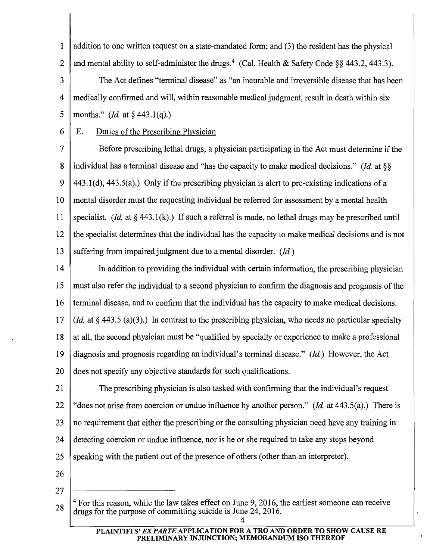1  $\parallel$  addition to one written request on a state-mandated form; and (3) the resident has the physical 2 and mental ability to self-administer the drugs.<sup>4</sup> (Cal. Health & Safety Code §§ 443.2, 443.3).

3 The Act defines "terminal disease" as "an incurable and irreversible disease that has been 4 medically confirmed and will, within reasonable medical judgment, result in death within six 5 || months." *(Id.* at  $\S$  443.1(q).)

## 6 E. Duties of the Prescribing Physician

7 Before prescribing lethal drugs, a physician participating in the Act must determine if the 8 individual has a terminal disease and "has the capacity to make medical decisions." *(Id* at§§ 9  $\parallel$  443.1(d), 443.5(a).) Only if the prescribing physician is alert to pre-existing indications of a 10 mental disorder must the requesting individual be referred for assessment by a mental health 11 | specialist. *(Id.* at § 443.1(k).) If such a referral is made, no lethal drugs may be prescribed until 12 the specialist determines that the individual has the capacity to make medical decisions and is not 13 suffering from impaired judgment due to a mental disorder. *(Id)* 

14 In addition to providing the individual with certain information, the prescribing physician 15 must also refer the individual to a second physician to confirm the diagnosis and prognosis of the 16 terminal disease, and to confirm that the individual has the capacity to make medical decisions. 17 *(Id* at§ 443.5 (a)(3).) In contrast to the prescribing physician, who needs no particular specialty 18 at all, the second physician must be "qualified by specialty or experience to make a professional 19 diagnosis and prognosis regarding an individual's terminal disease." *(Id)* However, the Act 20 does not specify any objective standards for such qualifications.

21 The prescribing physician is also tasked with confirming that the individual's request 22 "does not arise from coercion or undue influence by another person." *(Id.* at 443.5(a).) There is 23 no requirement that either the prescribing or the consulting physician need have any training in 24 detecting coercion or undue influence, nor is he or she required to take any steps beyond 25 speaking with the patient out of the presence of others (other than an interpreter).

- 26
- 27

<sup>28</sup>  <sup>4</sup> For this reason, while the law takes effect on June 9, 2016, the earliest someone can receive drugs for the purpose of committing suicide is June 24, 2016.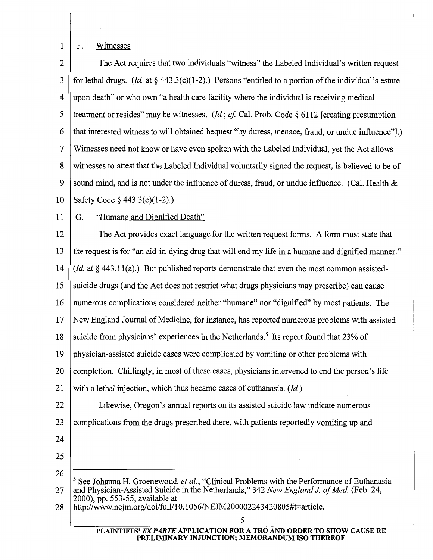1 F. Witnesses

2 The Act requires that two individuals "witness" the Labeled Individual's written request 3 for lethal drugs. *(Id.* at  $\S$  443.3(c)(1-2).) Persons "entitled to a portion of the individual's estate 4 upon death" or who own "a health care facility where the individual is receiving medical 5 treatment or resides" may be witnesses. *(Id; cf* Cal. Prob. Code § 6112 [creating presumption 6 that interested witness to will obtained bequest "by duress, menace, fraud, or undue influence"].) 7 Witnesses need not know or have even spoken with the Labeled Individual, yet the Act allows 8 witnesses to attest that the Labeled Individual voluntarily signed the request, is believed to be of 9 sound mind, and is not under the influence of duress, fraud, or undue influence. (Cal. Health  $\&$ 10 Safety Code§ 443.3(c)(l-2).)

11 G. "Humane and Dignified Death"

12 The Act provides exact language for the written request forms. A form must state that 13 the request is for "an aid-in-dying drug that will end my life in a humane and dignified manner." 14 *(Id.* at § 443.11(a).) But published reports demonstrate that even the most common assisted-15 suicide drugs (and the Act does not restrict what drugs physicians may prescribe) can cause 16 numerous complications considered neither "humane" nor "dignified" by most patients. The 17 New England Journal of Medicine, for instance, has reported numerous problems with assisted 18 suicide from physicians' experiences in the Netherlands.<sup>5</sup> Its report found that 23% of 19 physician-assisted suicide cases were complicated by vomiting or other problems with 20 completion. Chillingly, in most of these cases, physicians intervened to end the person's life 21 with a lethal injection, which thus became cases of euthanasia. *(Id)*  22 | Likewise, Oregon's annual reports on its assisted suicide law indicate numerous 23 complications from the drugs prescribed there, with patients reportedly vomiting up and 24 25

26

#### PLAINTIFFS' EX PARTE APPLICATION FOR A TRO AND ORDER TO SHOW CAUSE RE PRELIMINARY INJUNCTION; MEMORANDUM ISO THEREOF

<sup>5</sup> See Johanna H. Groenewoud, *et al.,* "Clinical Problems with the Performance of Euthanasia 27 and Physician-Assisted Suicide in the Netherlands," 342 *New England* J. *of Med* (Feb. 24, 2000), pp. 553-55, available at

<sup>28</sup> http://www.nejm.org/doi/full/10.1056/NEJM200002243420805#t=article.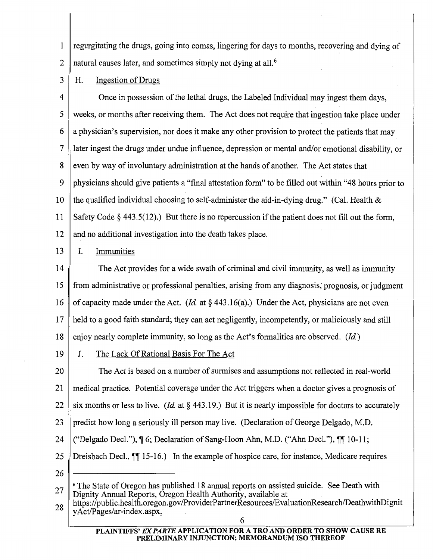1 regurgitating the drugs, going into comas, lingering for days to months, recovering and dying of 2  $\parallel$  natural causes later, and sometimes simply not dying at all.<sup>6</sup>

 $3 \parallel H$ . Ingestion of Drugs

4 Once in possession of the lethal drugs, the Labeled Individual may ingest them days, 5 weeks, or months after receiving them. The Act does not require that ingestion take place under 6 a physician's supervision, nor does it make any other provision to protect the patients that may 7 later ingest the drugs under undue influence, depression or mental and/or emotional disability, or 8 even by way of involuntary administration at the hands of another. The Act states that 9 physicians should give patients a "final attestation form" to be filled out within "48 hours prior to 10 the qualified individual choosing to self-administer the aid-in-dying drug." (Cal. Health  $\&$ 11 Safety Code§ 443.5(12).) But there is no repercussion if the patient does not fill out the form, 12 and no additional investigation into the death takes place.

13 | I. Immunities

14 The Act provides for a wide swath of criminal and civil immunity, as well as immunity 15 from administrative or professional penalties, arising from any diagnosis, prognosis, or judgment 16 of capacity made under the Act. *(Id.* at  $\S$  443.16(a).) Under the Act, physicians are not even 17 held to a good faith standard; they can act negligently, incompetently, or maliciously and still 18 enjoy nearly complete immunity, so long as the Act's formalities are observed. *(Id.)* 

19 J. The Lack Of Rational Basis For The Act

20 The Act is based on a number of surmises and assumptions not reflected in real-world 21 medical practice. Potential coverage under the Act triggers when a doctor gives a prognosis of 22 six months or less to live. *(Id.* at § 443.19.) But it is nearly impossible for doctors to accurately 23 predict how long a seriously ill person may live. (Declaration of George Delgado, M.D. 24  $\|$  ("Delgado Decl."),  $\|$  6; Declaration of Sang-Hoon Ahn, M.D. ("Ahn Decl."),  $\|$  $\|$  10-11; 25 Dreisbach Decl.,  $\P$ [15-16.) In the example of hospice care, for instance, Medicare requires

<sup>27</sup>  <sup>6</sup> The State of Oregon has published 18 annual reports on assisted suicide. See Death with Dignity Annual Reports, Oregon Health Authority, available at

<sup>28</sup>  https://public.health.oregon.gov/ProviderPartnerResources/EvaluationResearch/DeathwithDignit yAct/Pages/ar-index.aspx.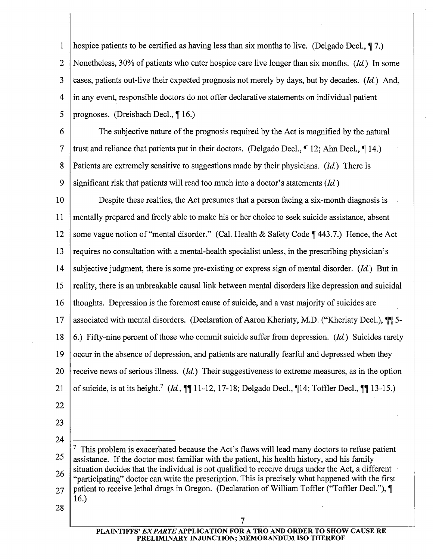1 hospice patients to be certified as having less than six months to live. (Delgado Decl.,  $\P$ 7.) 2 Nonetheless, 30% of patients who enter hospice care live longer than six months. (*Id.*) In some 3 cases, patients out-live their expected prognosis not merely by days, but by decades. (Id.) And, 4 in any event, responsible doctors do not offer declarative statements on individual patient 5 || prognoses. (Dreisbach Decl.,  $\P$ 16.)

6 The subjective nature of the prognosis required by the Act is magnified by the natural 7 Trust and reliance that patients put in their doctors. (Delgado Decl.,  $\P$  12; Ahn Decl.,  $\P$  14.) 8 Patients are extremely sensitive to suggestions made by their physicians. (Id.) There is 9 significant risk that patients will read too much into a doctor's statements  $(Id.)$ 

10 Despite these realties, the Act presumes that a person facing a six-month diagnosis is 11 mentally prepared and freely able to make his or her choice to seek suicide assistance, absent 12 some vague notion of "mental disorder." (Cal. Health & Safety Code  $\P$  443.7.) Hence, the Act 13  $\parallel$  requires no consultation with a mental-health specialist unless, in the prescribing physician's 14 Subjective judgment, there is some pre-existing or express sign of mental disorder. (*Id.*) But in 15 reality, there is an unbreakable causal link between mental disorders like depression and suicidal 16 thoughts. Depression is the foremost cause of suicide, and a vast majority of suicides are 17 || associated with mental disorders. (Declaration of Aaron Kheriaty, M.D. ("Kheriaty Decl.),  $\P\P$  5-18  $\,$  6.) Fifty-nine percent of those who commit suicide suffer from depression. (*Id.*) Suicides rarely 19 occur in the absence of depression, and patients are naturally fearful and depressed when they 20 receive news of serious illness. (*Id.*) Their suggestiveness to extreme measures, as in the option 21 of suicide, is at its height.<sup>7</sup> (Id.,  $\P\P$ 11-12, 17-18; Delgado Decl.,  $\P$ 14; Toffler Decl.,  $\P$  $\P$  13-15.)

- 22
- 23 24

25 26  $^7$  This problem is exacerbated because the Act's flaws will lead many doctors to refuse patient assistance. If the doctor most familiar with the patient, his health history, and his family situation decides that the individual is not qualified to receive drugs under the Act, a different "participating" doctor can write the prescription. This is precisely what happened with the first  $27 \parallel$  patient to receive lethal drugs in Oregon. (Declaration of William Toffler ("Toffler Decl."),  $\P$ 16.)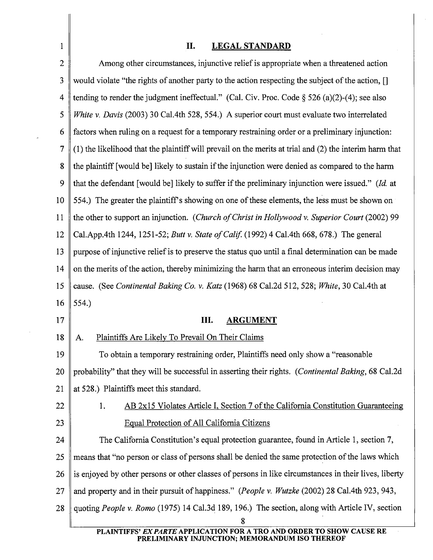## 1 || II. LEGAL STANDARD

| $\overline{2}$ | Among other circumstances, injunctive relief is appropriate when a threatened action                    |  |  |  |
|----------------|---------------------------------------------------------------------------------------------------------|--|--|--|
| 3              | would violate "the rights of another party to the action respecting the subject of the action, []       |  |  |  |
| 4              | tending to render the judgment ineffectual." (Cal. Civ. Proc. Code $\S$ 526 (a)(2)-(4); see also        |  |  |  |
| 5              | White v. Davis (2003) 30 Cal.4th 528, 554.) A superior court must evaluate two interrelated             |  |  |  |
| 6              | factors when ruling on a request for a temporary restraining order or a preliminary injunction:         |  |  |  |
| 7              | (1) the likelihood that the plaintiff will prevail on the merits at trial and (2) the interim harm that |  |  |  |
| 8              | the plaintiff [would be] likely to sustain if the injunction were denied as compared to the harm        |  |  |  |
| 9              | that the defendant [would be] likely to suffer if the preliminary injunction were issued." (Id. at      |  |  |  |
| 10             | 554.) The greater the plaintiff's showing on one of these elements, the less must be shown on           |  |  |  |
| 11             | the other to support an injunction. (Church of Christ in Hollywood v. Superior Court (2002) 99          |  |  |  |
| 12             | Cal.App.4th 1244, 1251-52; Butt v. State of Calif. (1992) 4 Cal.4th 668, 678.) The general              |  |  |  |
| 13             | purpose of injunctive relief is to preserve the status quo until a final determination can be made      |  |  |  |
| 14             | on the merits of the action, thereby minimizing the harm that an erroneous interim decision may         |  |  |  |
| 15             | cause. (See Continental Baking Co. v. Katz (1968) 68 Cal.2d 512, 528; White, 30 Cal.4th at              |  |  |  |
| 16             | 554.)                                                                                                   |  |  |  |
| 17             | III.<br><b>ARGUMENT</b>                                                                                 |  |  |  |
|                |                                                                                                         |  |  |  |
| 18             | Plaintiffs Are Likely To Prevail On Their Claims<br>A.                                                  |  |  |  |
| 19             | To obtain a temporary restraining order, Plaintiffs need only show a "reasonable                        |  |  |  |
| $20 \parallel$ | probability" that they will be successful in asserting their rights. (Continental Baking, 68 Cal.2d     |  |  |  |
| 21             | at 528.) Plaintiffs meet this standard.                                                                 |  |  |  |
| 22             | AB 2x15 Violates Article I, Section 7 of the California Constitution Guaranteeing<br>1.                 |  |  |  |
| 23             | Equal Protection of All California Citizens                                                             |  |  |  |
| 24             | The California Constitution's equal protection guarantee, found in Article 1, section 7,                |  |  |  |
| 25             | means that "no person or class of persons shall be denied the same protection of the laws which         |  |  |  |
| 26             | is enjoyed by other persons or other classes of persons in like circumstances in their lives, liberty   |  |  |  |
| 27             | and property and in their pursuit of happiness." (People v. Wutzke (2002) 28 Cal.4th 923, 943,          |  |  |  |
| 28             | quoting People v. Romo (1975) 14 Cal.3d 189, 196.) The section, along with Article IV, section          |  |  |  |

PLAINTIFFS' EX PARTE APPLICATION FOR A TRO AND ORDER TO SHOW CAUSE RE PRELIMINARY INJUNCTION; MEMORANDUM ISO THEREOF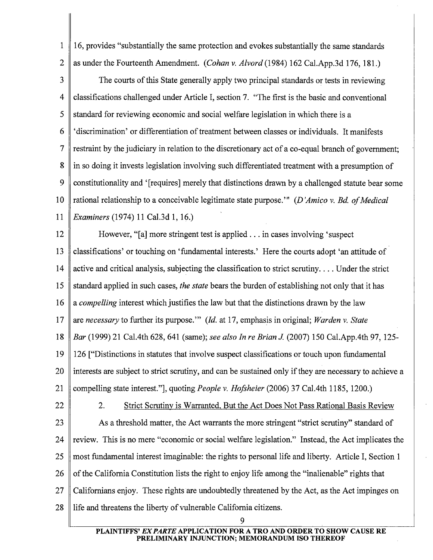1 || 16, provides "substantially the same protection and evokes substantially the same standards 2 as under the Fourteenth Amendment. *(Cohan v. Alvord* (1984) 162 Cal.App.3d 176, 181.)

3 The courts of this State generally apply two principal standards or tests in reviewing 4 classifications challenged under Article I, section 7. "The first is the basic and conventional  $5 \parallel$  standard for reviewing economic and social welfare legislation in which there is a 6 'discrimination' or differentiation of treatment between classes or individuals. It manifests 7 restraint by the judiciary in relation to the discretionary act of a co-equal branch of government; 8 in so doing it invests legislation involving such differentiated treatment with a presumption of 9 constitutionality and '[requires] merely that distinctions drawn by a challenged statute bear some 10 rational relationship to a conceivable legitimate state purpose.'" *(D 'Amico v. Bd of Medical*  11 *Examiners* (1974) 11 Cal.3d 1, 16.)

12 However, "[a] more stringent test is applied ... in cases involving 'suspect 13 classifications' or touching on 'fundamental interests.' Here the courts adopt 'an attitude of 14 active and critical analysis, subjecting the classification to strict scrutiny .... Under the strict 15 standard applied in such cases, *the state* bears the burden of establishing not only that it has 16 a *compelling* interest which justifies the law but that the distinctions drawn by the law 17 are *necessary* to further its purpose."' *(Id.* at 17, emphasis in original; *Warden v. State*  18 *Bar* (1999) 21 Cal.4th 628, 641 (same); *see also In re Brian* J (2007) 150 Cal.App.4th 97, 125- 19 126 ["Distinctions in statutes that involve suspect classifications or touch upon fundamental 20 Ill interests are subject to strict scrutiny, and can be sustained only if they are necessary to achieve a 21 compelling state interest."], quoting *People v. Hofsheier* (2006) 37 Cal.4th 1185, 1200.)

22 2. Strict Scrutiny is Warranted, But the Act Does Not Pass Rational Basis Review 23 As a threshold matter, the Act warrants the more stringent "strict scrutiny" standard of

24  $\parallel$  review. This is no mere "economic or social welfare legislation." Instead, the Act implicates the 25 most fundamental interest imaginable: the rights to personal life and liberty. Article I, Section 1

26  $\parallel$  of the California Constitution lists the right to enjoy life among the "inalienable" rights that

 $27 \parallel$  Californians enjoy. These rights are undoubtedly threatened by the Act, as the Act impinges on

28 Il life and threatens the liberty of vulnerable California citizens.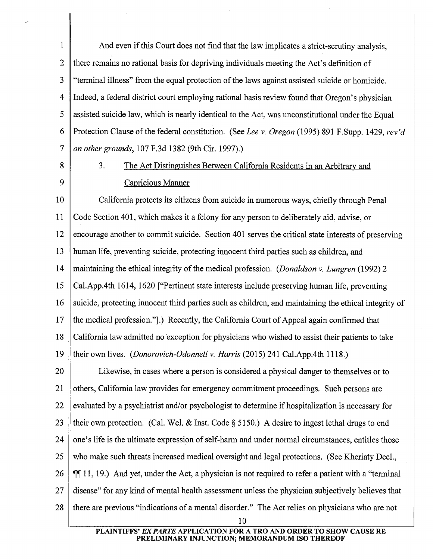1 And even if this Court does not find that the law implicates a strict-scrutiny analysis, 2 there remains no rational basis for depriving individuals meeting the Act's definition of 3 "terminal illness" from the equal protection of the laws against assisted suicide or homicide. 4 Indeed, a federal district court employing rational basis review found that Oregon's physician  $5 \parallel$  assisted suicide law, which is nearly identical to the Act, was unconstitutional under the Equal 6 Protection Clause of the federal constitution. (See *Lee v. Oregon* (1995) 891 F.Supp. 1429, *rev 'd*  7 *on other grounds,* 107 F.3d 1382 (9th Cir. 1997).)

# 8 3. The Act Distinguishes Between California Residents in an Arbitrary and 9 Capricious Manner

10 California protects its citizens from suicide in numerous ways, chiefly through Penal 11 Code Section 401, which makes it a felony for any person to deliberately aid, advise, or 12 encourage another to commit suicide. Section 401 serves the critical state interests of preserving 13 human life, preventing suicide, protecting innocent third parties such as children, and 14 maintaining the ethical integrity of the medical profession. *(Donaldson v. Lungren* (1992) 2 15 Cal.App.4th 1614, 1620 ["Pertinent state interests include preserving human life, preventing 16 suicide, protecting innocent third parties such as children, and maintaining the ethical integrity of 17  $\parallel$  the medical profession."].) Recently, the California Court of Appeal again confirmed that 18 California law admitted no exception for physicians who wished to assist their patients to take 19 their own lives. *(Donorovich-Odonnell v. Harris* (2015) 241 Cal.App.4th 1118.)

20 **Likewise, in cases where a person is considered a physical danger to themselves or to** 21 others, California law provides for emergency commitment proceedings. Such persons are 22 evaluated by a psychiatrist and/or psychologist to determine if hospitalization is necessary for 23 their own protection. (Cal. Wel. & Inst. Code § 5150.) A desire to ingest lethal drugs to end 24  $\parallel$  one's life is the ultimate expression of self-harm and under normal circumstances, entitles those 25 who make such threats increased medical oversight and legal protections. (See Kheriaty Decl., 26  $\parallel \mathbb{I} \parallel$  11, 19.) And yet, under the Act, a physician is not required to refer a patient with a "terminal" 27 disease" for any kind of mental health assessment unless the physician subjectively believes that 28 there are previous "indications of a mental disorder." The Act relies on physicians who are not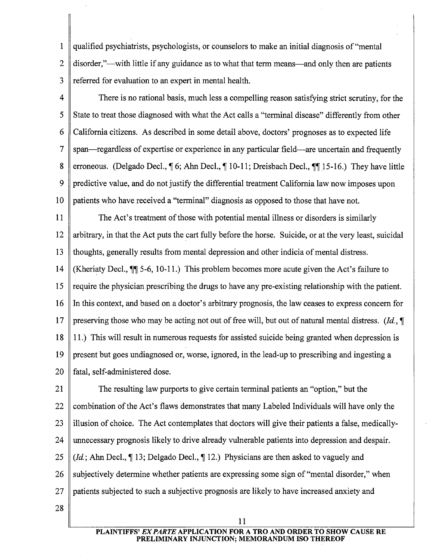1 qualified psychiatrists, psychologists, or counselors to make an initial diagnosis of "mental 2 disorder,"—with little if any guidance as to what that term means—and only then are patients 3 referred for evaluation to an expert in mental health.

4 There is no rational basis, much less a compelling reason satisfying strict scrutiny, for the 5 State to treat those diagnosed with what the Act calls a "terminal disease" differently from other 6 California citizens. As described in some detail above, doctors' prognoses as to expected life 7 span-regardless of expertise or experience in any particular field-are uncertain and frequently 8 || erroneous. (Delgado Decl.,  $\P$  6; Ahn Decl.,  $\P$  10-11; Dreisbach Decl.,  $\P$  $\P$  15-16.) They have little 9 predictive value, and do not justify the differential treatment California law now imposes upon 10 patients who have received a "terminal" diagnosis as opposed to those that have not.

11 The Act's treatment of those with potential mental illness or disorders is similarly 12 arbitrary, in that the Act puts the cart fully before the horse. Suicide, or at the very least, suicidal 13 thoughts, generally results from mental depression and other indicia of mental distress.

14 (Kheriaty Decl.,  $\P$  5-6, 10-11.) This problem becomes more acute given the Act's failure to 15  $\parallel$  require the physician prescribing the drugs to have any pre-existing relationship with the patient. 16 In this context, and based on a doctor's arbitrary prognosis, the law ceases to express concern for 17 preserving those who may be acting not out of free will, but out of natural mental distress. *(Id.*,  $\P$ 18 11.) This will result in numerous requests for assisted suicide being granted when depression is 19 present but goes undiagnosed or, worse, ignored, in the lead-up to prescribing and ingesting a 20 || fatal, self-administered dose.

21 The resulting law purports to give certain terminal patients an "option," but the 22 combination of the Act's flaws demonstrates that many Labeled Individuals will have only the  $23$  || illusion of choice. The Act contemplates that doctors will give their patients a false, medically-24 unnecessary prognosis likely to drive already vulnerable patients into depression and despair. 25 *(Id.*; Ahn Decl., 13; Delgado Decl., 112.) Physicians are then asked to vaguely and 26 Subjectively determine whether patients are expressing some sign of "mental disorder," when 27 patients subjected to such a subjective prognosis are likely to have increased anxiety and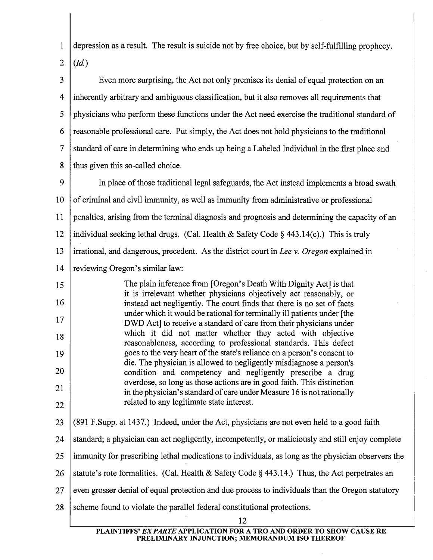1 2 depression as a result. The result is suicide not by free choice, but by self-fulfilling prophecy. *(Id.)* 

3 4 5 6 7 8 Even more surprising, the Act not only premises its denial of equal protection on an inherently arbitrary and ambiguous classification, but it also removes all requirements that physicians who perform these functions under the Act need exercise the traditional standard of reasonable professional care. Put simply, the Act does not hold physicians to the traditional standard of care in determining who ends up being a Labeled Individual in the first place and thus given this so-called choice.

9 10 11 12 13 14 In place of those traditional legal safeguards, the Act instead implements a broad swath of criminal and civil immunity, as well as immunity from administrative or professional penalties, arising from the terminal diagnosis and prognosis and determining the capacity of an individual seeking lethal drugs. (Cal. Health & Safety Code  $\S$  443.14(c).) This is truly irrational, and dangerous, precedent. As the district court in *Lee v. Oregon* explained in reviewing Oregon's similar law:

15 16 17 18 19 20 21 22 The plain inference from [Oregon's Death With Dignity Act] is that it is irrelevant whether physicians objectively act reasonably, or instead act negligently. The court finds that there is no set of facts under which it would be rational for terminally ill patients under [the DWD Act] to receive a standard of care from their physicians under which it did not matter whether they acted with objective reasonableness, according to professional standards. This defect goes to the very heart of the state's reliance on a person's consent to die. The physician is allowed to negligently misdiagnose a person's condition and competency and negligently prescribe a drug overdose, so long as those actions are in good faith. This distinction in the physician's standard of care under Measure 16 is not rationally related to any legitimate state interest.

23 24 25 26 27 28 (891 F.Supp. at 1437.) Indeed, under the Act, physicians are not even held to a good faith standard; a physician can act negligently, incompetently, or maliciously and still enjoy complete immunity for prescribing lethal medications to individuals, as long as the physician observers the statute's rote formalities. (Cal. Health & Safety Code  $\S$  443.14.) Thus, the Act perpetrates an even grosser denial of equal protection and due process to individuals than the Oregon statutory scheme found to violate the parallel federal constitutional protections. 12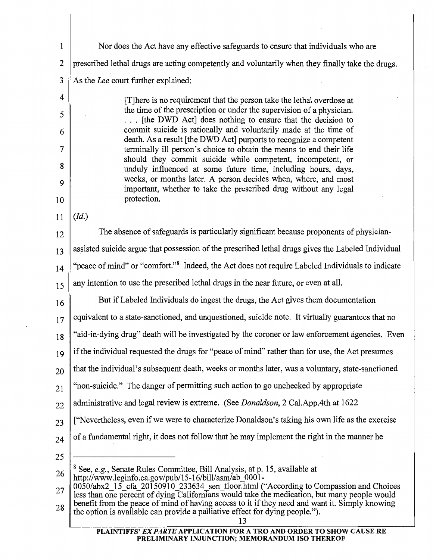| 1  | Nor does the Act have any effective safeguards to ensure that individuals who are                                                                                                     |  |  |  |  |
|----|---------------------------------------------------------------------------------------------------------------------------------------------------------------------------------------|--|--|--|--|
| 2  | prescribed lethal drugs are acting competently and voluntarily when they finally take the drugs.                                                                                      |  |  |  |  |
| 3  | As the Lee court further explained:                                                                                                                                                   |  |  |  |  |
| 4  | [T] here is no requirement that the person take the lethal overdose at                                                                                                                |  |  |  |  |
| 5  | the time of the prescription or under the supervision of a physician.<br>[the DWD Act] does nothing to ensure that the decision to                                                    |  |  |  |  |
| 6  | commit suicide is rationally and voluntarily made at the time of<br>death. As a result [the DWD Act] purports to recognize a competent                                                |  |  |  |  |
| 7  | terminally ill person's choice to obtain the means to end their life                                                                                                                  |  |  |  |  |
| 8  | should they commit suicide while competent, incompetent, or<br>unduly influenced at some future time, including hours, days,                                                          |  |  |  |  |
| 9  | weeks, or months later. A person decides when, where, and most<br>important, whether to take the prescribed drug without any legal                                                    |  |  |  |  |
| 10 | protection.                                                                                                                                                                           |  |  |  |  |
| 11 | (Id.)                                                                                                                                                                                 |  |  |  |  |
| 12 | The absence of safeguards is particularly significant because proponents of physician-                                                                                                |  |  |  |  |
| 13 | assisted suicide argue that possession of the prescribed lethal drugs gives the Labeled Individual                                                                                    |  |  |  |  |
| 14 | "peace of mind" or "comfort." <sup>8</sup> Indeed, the Act does not require Labeled Individuals to indicate                                                                           |  |  |  |  |
| 15 | any intention to use the prescribed lethal drugs in the near future, or even at all.                                                                                                  |  |  |  |  |
| 16 | But if Labeled Individuals do ingest the drugs, the Act gives them documentation                                                                                                      |  |  |  |  |
| 17 | equivalent to a state-sanctioned, and unquestioned, suicide note. It virtually guarantees that no                                                                                     |  |  |  |  |
| 18 | "aid-in-dying drug" death will be investigated by the coroner or law enforcement agencies. Even                                                                                       |  |  |  |  |
| 19 | if the individual requested the drugs for "peace of mind" rather than for use, the Act presumes                                                                                       |  |  |  |  |
| 20 | that the individual's subsequent death, weeks or months later, was a voluntary, state-sanctioned                                                                                      |  |  |  |  |
| 21 | "non-suicide." The danger of permitting such action to go unchecked by appropriate                                                                                                    |  |  |  |  |
| 22 | administrative and legal review is extreme. (See Donaldson, 2 Cal.App.4th at 1622                                                                                                     |  |  |  |  |
| 23 | "Nevertheless, even if we were to characterize Donaldson's taking his own life as the exercise                                                                                        |  |  |  |  |
| 24 | of a fundamental right, it does not follow that he may implement the right in the manner he                                                                                           |  |  |  |  |
| 25 |                                                                                                                                                                                       |  |  |  |  |
| 26 | <sup>8</sup> See, e.g., Senate Rules Committee, Bill Analysis, at p. 15, available at<br>http://www.leginfo.ca.gov/pub/15-16/bill/asm/ab 0001-                                        |  |  |  |  |
| 27 | 0050/abx2_15_cfa_20150910_233634_sen_floor.html ("According to Compassion and Choices<br>less than one percent of dying Californians would take the medication, but many people would |  |  |  |  |
| 28 | benefit from the peace of mind of having access to it if they need and want it. Simply knowing<br>the option is available can provide a palliative effect for dying people.").<br>13  |  |  |  |  |
|    |                                                                                                                                                                                       |  |  |  |  |

PLAINTIFFS' *EX PARTE* APPLICATION FOR A TRO AND ORDER TO SHOW CAUSE RE PRELIMINARY INJUNCTION; MEMORANDUM ISO THEREOF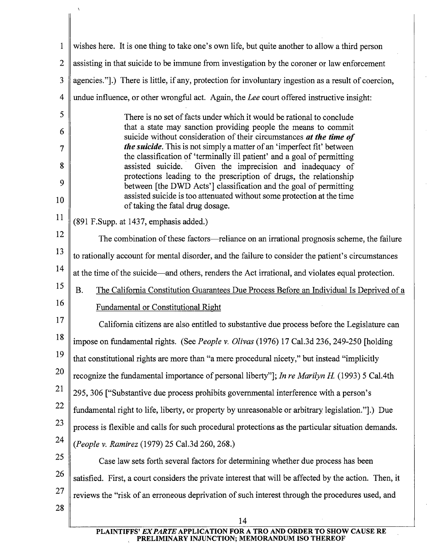1 2 3 4 5 6 7 8 9 10 11 12 13 14 15 16 17 18 19 20 21 22 23 24 25 26 27 28 wishes here. It is one thing to take one's own life, but quite another to allow a third person assisting in that suicide to be immune from investigation by the coroner or law enforcement agencies."].) There is little, if any, protection for involuntary ingestion as a result of coercion, undue influence, or other wrongful act. Again, the *Lee* court offered instructive insight: There is no set of facts under which it would be rational to conclude that a state may sanction providing people the means to commit suicide without consideration of their circumstances *at the time of the suicide.* This is not simply a matter of an 'imperfect fit' between the classification of 'terminally ill patient' and a goal of permitting assisted suicide. Given the imprecision and inadequacy of protections leading to the prescription of drugs, the relationship between [the DWD Acts'] classification and the goal of permitting assisted suicide is too attenuated without some protection at the time of taking the fatal drug dosage. (891 F.Supp. at 1437, emphasis added.) The combination of these factors—reliance on an irrational prognosis scheme, the failure to rationally account for mental disorder, and the failure to consider the patient's circumstances at the time of the suicide-and others, renders the Act irrational, and violates equal protection. B. The California Constitution Guarantees Due Process Before an Individual Is Deprived of a Fundamental or Constitutional Right California citizens are also entitled to substantive due process before the Legislature can impose on fundamental rights. (See *People v. Olivas* (1976) 17 Cal.3d 236, 249-250 [holding that constitutional rights are more than "a mere procedural nicety," but instead "implicitly recognize the fundamental importance of personal liberty"]; *In re Marilyn H* (1993) 5 Cal.4th 295, 306 ["Substantive due process prohibits governmental interference with a person's fundamental right to life, liberty, or property by unreasonable or arbitrary legislation."].) Due process is flexible and calls for such procedural protections as the particular situation demands. *(People v. Ramirez* (1979) 25 Cal.3d 260, 268.) Case law sets forth several factors for determining whether due process has been satisfied. First, a court considers the private interest that will be affected by the action. Then, it reviews the "risk of an erroneous deprivation of such interest through the procedures used, and 14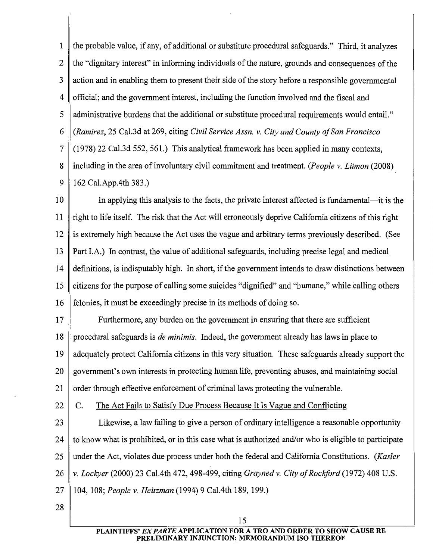1 the probable value, if any, of additional or substitute procedural safeguards." Third, it analyzes 2 the "dignitary interest" in informing individuals of the nature, grounds and consequences of the 3 action and in enabling them to present their side of the story before a responsible governmental 4 official; and the government interest, including the function involved and the fiscal and 5 ded administrative burdens that the additional or substitute procedural requirements would entail." 6 *(Ramirez,* 25 Cal.3d at 269, citing *Civil Service Assn. v. City and County of San Francisco*  7 (1978) 22 Cal.3d 552, 561.) This analytical framework has been applied in many contexts, 8 including in the area of involuntary civil commitment and treatment. *(People v. Litman* (2008) 9 162 Cal.App.4th 383.)

10 In applying this analysis to the facts, the private interest affected is fundamental-it is the 11  $\parallel$  right to life itself. The risk that the Act will erroneously deprive California citizens of this right 12 is extremely high because the Act uses the vague and arbitrary terms previously described. (See 13 Part I.A.) In contrast, the value of additional safeguards, including precise legal and medical 14 definitions, is indisputably high. In short, if the government intends to draw distinctions between 15 citizens for the purpose of calling some suicides "dignified" and "humane," while calling others 16 felonies, it must be exceedingly precise in its methods of doing so.

17 Furthermore, any burden on the government in ensuring that there are sufficient 18 procedural safeguards is *de minimis.* Indeed, the government already has laws in place to 19 adequately protect California citizens in this very situation. These safeguards already support the 20 government's own interests in protecting human life, preventing abuses, and maintaining social 21  $\parallel$  order through effective enforcement of criminal laws protecting the vulnerable.

22  $\parallel$  C. The Act Fails to Satisfy Due Process Because It Is Vague and Conflicting

23 Likewise, a law failing to give a person of ordinary intelligence a reasonable opportunity 24  $\parallel$  to know what is prohibited, or in this case what is authorized and/or who is eligible to participate 25 under the Act, violates due process under both the federal and California Constitutions. *(Kaster*  26 *v. Lockyer* (2000) 23 Cal.4th 472, 498-499, citing *Grayned v. City of Rockford* (1972) 408 U.S. 27 104, 108; *People v. Heitzman* (1994) 9 Cal.4th 189, 199.)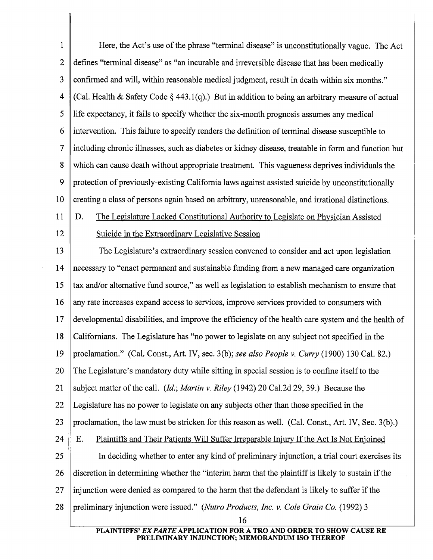1 Here, the Act's use of the phrase "terminal disease" is unconstitutionally vague. The Act 2 defines "terminal disease" as "an incurable and irreversible disease that has been medically 3 confirmed and will, within reasonable medical judgment, result in death within six months." 4 (Cal. Health & Safety Code § 443.1(q).) But in addition to being an arbitrary measure of actual 5 life expectancy, it fails to specify whether the six-month prognosis assumes any medical  $6 \parallel$  intervention. This failure to specify renders the definition of terminal disease susceptible to 7 including chronic illnesses, such as diabetes or kidney disease, treatable in form and function but 8 which can cause death without appropriate treatment. This vagueness deprives individuals the 9 protection of previously-existing California laws against assisted suicide by unconstitutionally 10 creating a class of persons again based on arbitrary, unreasonable, and irrational distinctions.

- 11 D. The Legislature Lacked Constitutional Authority to Legislate on Physician Assisted
- 
- 12 Suicide in the Extraordinary Legislative Session

13 The Legislature's extraordinary session convened to consider and act upon legislation 14 necessary to "enact permanent and sustainable funding from a new managed care organization 15 tax and/or alternative fund source," as well as legislation to establish mechanism to ensure that 16 any rate increases expand access to services, improve services provided to consumers with 17 developmental disabilities, and improve the efficiency of the health care system and the health of 18 Californians. The Legislature has "no power to legislate on any subject not specified in the 19 proclamation." (Cal. Const., Art. IV, sec. 3(b); *see also People v. Curry* (1900) 130 Cal. 82.) 20 The Legislature's mandatory duty while sitting in special session is to confine itself to the 21 subject matter of the call. *(Id.; Martin v. Riley* (1942) 20 Cal.2d 29, 39.) Because the 22 Legislature has no power to legislate on any subjects other than those specified in the 23 || proclamation, the law must be stricken for this reason as well. (Cal. Const., Art. IV, Sec. 3(b).) 24 E. Plaintiffs and Their Patients Will Suffer Irreparable Injury If the Act Is Not Enjoined 25 In deciding whether to enter any kind of preliminary injunction, a trial court exercises its 26 discretion in determining whether the "interim harm that the plaintiff is likely to sustain if the  $27$  injunction were denied as compared to the harm that the defendant is likely to suffer if the 28 preliminary injunction were issued." *(Nutro Products, Inc. v. Cole Grain Co.* (1992) 3

> PLAINTIFFS' EX PARTE APPLICATION FOR A TRO AND ORDER TO SHOW CAUSE RE PRELIMINARY INJUNCTION; MEMORANDUM ISO THEREOF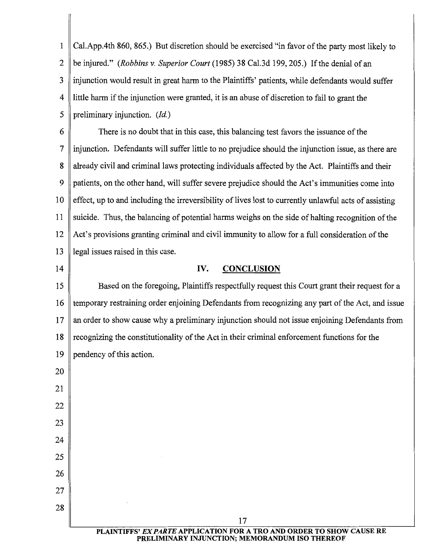1 Cal.App.4th 860, 865.) But discretion should be exercised "in favor of the party most likely to 2 be injured." *(Robbins* v. *Superior Court* (1985) 38 Cal.3d 199, 205.) If the denial of an 3 injunction would result in great harm to the Plaintiffs' patients, while defendants would suffer 4 little harm if the injunction were granted, it is an abuse of discretion to fail to grant the 5 preliminary injunction. *(Id.)* 

6 There is no doubt that in this case, this balancing test favors the issuance of the 7 injunction. Defendants will suffer little to no prejudice should the injunction issue, as there are 8 already civil and criminal laws protecting individuals affected by the Act. Plaintiffs and their 9 patients, on the other hand, will suffer severe prejudice should the Act's immunities come into  $10$  effect, up to and including the irreversibility of lives lost to currently unlawful acts of assisting 11 suicide. Thus, the balancing of potential harms weighs on the side of halting recognition of the 12 Act's provisions granting criminal and civil immunity to allow for a full consideration of the 13 || legal issues raised in this case.

## 14 || IV. CONCLUSION

15 Based on the foregoing, Plaintiffs respectfully request this Court grant their request for a 16 temporary restraining order enjoining Defendants from recognizing any part of the Act, and issue  $17$  an order to show cause why a preliminary injunction should not issue enjoining Defendants from 18 recognizing the constitutionality of the Act in their criminal enforcement functions for the 19 pendency of this action.